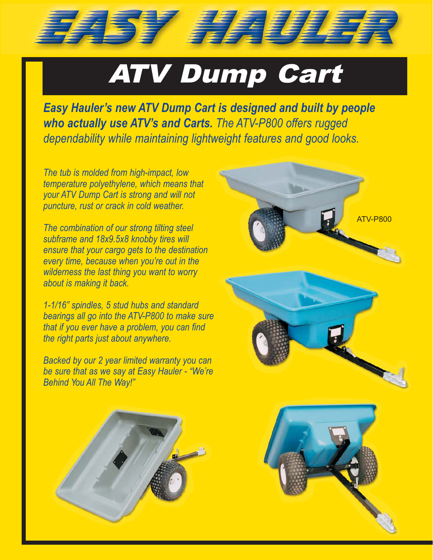## ATV Dump Cart

157 月月17日

*Easy Hauler's new ATV Dump Cart is designed and built by people who actually use ATV's and Carts. The ATV-P800 offers rugged dependability while maintaining lightweight features and good looks.*

*The tub is molded from high-impact, low temperature polyethylene, which means that your ATV Dump Cart is strong and will not puncture, rust or crack in cold weather.*

*The combination of our strong tilting steel subframe and 18x9.5x8 knobby tires will ensure that your cargo gets to the destination every time, because when you're out in the wilderness the last thing you want to worry about is making it back.*

*1-1/16" spindles, 5 stud hubs and standard bearings all go into the ATV-P800 to make sure that if you ever have a problem, you can find the right parts just about anywhere.*

*Backed by our 2 year limited warranty you can be sure that as we say at Easy Hauler - "We're Behind You All The Way!"*